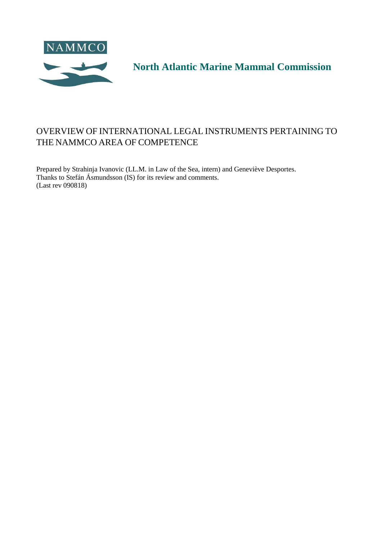<span id="page-0-0"></span>

**North Atlantic Marine Mammal Commission**

## <span id="page-0-1"></span>OVERVIEW OF INTERNATIONAL LEGAL INSTRUMENTS PERTAINING TO THE NAMMCO AREA OF COMPETENCE

Prepared by Strahinja Ivanovic (LL.M. in Law of the Sea, intern) and Geneviève Desportes. Thanks to Stefán Ásmundsson (IS) for its review and comments. (Last rev 090818)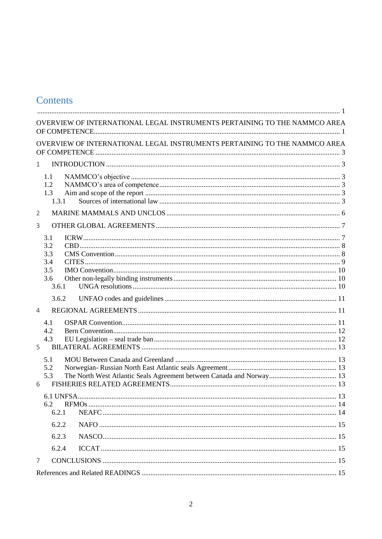# Contents

| OVERVIEW OF INTERNATIONAL LEGAL INSTRUMENTS PERTAINING TO THE NAMMCO AREA |  |
|---------------------------------------------------------------------------|--|
| OVERVIEW OF INTERNATIONAL LEGAL INSTRUMENTS PERTAINING TO THE NAMMCO AREA |  |
| 1                                                                         |  |
| $1.1\,$                                                                   |  |
| 1.2                                                                       |  |
| 1.3<br>1.3.1                                                              |  |
| 2                                                                         |  |
| 3                                                                         |  |
| 3.1                                                                       |  |
| 3.2                                                                       |  |
| 3.3                                                                       |  |
| 3.4                                                                       |  |
| 3.5                                                                       |  |
| 3.6                                                                       |  |
| 3.6.1                                                                     |  |
| 3.6.2                                                                     |  |
| $\overline{4}$                                                            |  |
| 4.1                                                                       |  |
| 4.2                                                                       |  |
| 4.3                                                                       |  |
| 5                                                                         |  |
| 5.1                                                                       |  |
| 5.2                                                                       |  |
| 5.3                                                                       |  |
| 6                                                                         |  |
| .13<br>6.1 UNFSA.                                                         |  |
| 6.2                                                                       |  |
| 6.2.1                                                                     |  |
| 6.2.2                                                                     |  |
| 6.2.3                                                                     |  |
| 6.2.4                                                                     |  |
| $\overline{7}$                                                            |  |
|                                                                           |  |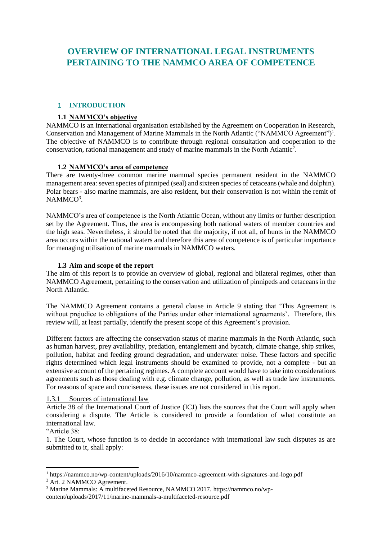## <span id="page-2-0"></span>**OVERVIEW OF INTERNATIONAL LEGAL INSTRUMENTS PERTAINING TO THE NAMMCO AREA OF COMPETENCE**

## <span id="page-2-1"></span>1 **INTRODUCTION**

## **1.1 NAMMCO's objective**

<span id="page-2-2"></span>NAMMCO is an international organisation established by the Agreement on Cooperation in Research, Conservation and Management of Marine Mammals in the North Atlantic ("NAMMCO Agreement")<sup>1</sup>. The objective of NAMMCO is to contribute through regional consultation and cooperation to the conservation, rational management and study of marine mammals in the North Atlantic<sup>2</sup>.

## **1.2 NAMMCO's area of competence**

<span id="page-2-3"></span>There are twenty-three common marine mammal species permanent resident in the NAMMCO management area: seven species of pinniped (seal) and sixteen species of cetaceans (whale and dolphin). Polar bears - also marine mammals, are also resident, but their conservation is not within the remit of NAMMCO<sup>3</sup>.

NAMMCO's area of competence is the North Atlantic Ocean, without any limits or further description set by the Agreement. Thus, the area is encompassing both national waters of member countries and the high seas. Nevertheless, it should be noted that the majority, if not all, of hunts in the NAMMCO area occurs within the national waters and therefore this area of competence is of particular importance for managing utilisation of marine mammals in NAMMCO waters.

## **1.3 Aim and scope of the report**

<span id="page-2-4"></span>The aim of this report is to provide an overview of global, regional and bilateral regimes, other than NAMMCO Agreement, pertaining to the conservation and utilization of pinnipeds and cetaceans in the North Atlantic.

The NAMMCO Agreement contains a general clause in Article 9 stating that 'This Agreement is without prejudice to obligations of the Parties under other international agreements'. Therefore, this review will, at least partially, identify the present scope of this Agreement's provision.

Different factors are affecting the conservation status of marine mammals in the North Atlantic, such as human harvest, prey availability, predation, entanglement and bycatch, climate change, ship strikes, pollution, habitat and feeding ground degradation, and underwater noise. These factors and specific rights determined which legal instruments should be examined to provide, not a complete - but an extensive account of the pertaining regimes. A complete account would have to take into considerations agreements such as those dealing with e.g. climate change, pollution, as well as trade law instruments. For reasons of space and conciseness, these issues are not considered in this report.

#### <span id="page-2-5"></span>1.3.1 Sources of international law

Article 38 of the International Court of Justice (ICJ) lists the sources that the Court will apply when considering a dispute. The Article is considered to provide a foundation of what constitute an international law.

## "Article 38:

1

1. The Court, whose function is to decide in accordance with international law such disputes as are submitted to it, shall apply:

<sup>1</sup> https://nammco.no/wp-content/uploads/2016/10/nammco-agreement-with-signatures-and-logo.pdf

<sup>&</sup>lt;sup>2</sup> Art. 2 NAMMCO Agreement.

<sup>3</sup> Marine Mammals: A multifaceted Resource, NAMMCO 2017. https://nammco.no/wp-

content/uploads/2017/11/marine-mammals-a-multifaceted-resource.pdf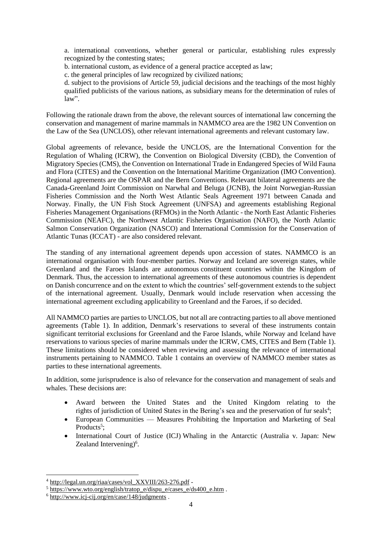a. international conventions, whether general or particular, establishing rules expressly recognized by the contesting states;

b. international custom, as evidence of a general practice accepted as law;

c. the general principles of law recognized by civilized nations;

d. subject to the provisions of Article 59, judicial decisions and the teachings of the most highly qualified publicists of the various nations, as subsidiary means for the determination of rules of  $law$ ".

Following the rationale drawn from the above, the relevant sources of international law concerning the conservation and management of marine mammals in NAMMCO area are the 1982 UN Convention on the Law of the Sea (UNCLOS), other relevant international agreements and relevant customary law.

Global agreements of relevance, beside the UNCLOS, are the International Convention for the Regulation of Whaling (ICRW), the Convention on Biological Diversity (CBD), the Convention of Migratory Species (CMS), the Convention on International Trade in Endangered Species of Wild Fauna and Flora (CITES) and the Convention on the International Maritime Organization (IMO Convention). Regional agreements are the OSPAR and the Bern Conventions. Relevant bilateral agreements are the Canada-Greenland Joint Commission on Narwhal and Beluga (JCNB), the Joint Norwegian-Russian Fisheries Commission and the North West Atlantic Seals Agreement 1971 between Canada and Norway. Finally, the UN Fish Stock Agreement (UNFSA) and agreements establishing Regional Fisheries Management Organisations (RFMOs) in the North Atlantic - the North East Atlantic Fisheries Commission (NEAFC), the Northwest Atlantic Fisheries Organisation (NAFO), the North Atlantic Salmon Conservation Organization (NASCO) and International Commission for the Conservation of Atlantic Tunas (ICCAT) - are also considered relevant.

The standing of any international agreement depends upon accession of states. NAMMCO is an international organisation with four-member parties. Norway and Iceland are sovereign states, while Greenland and the Faroes Islands are autonomous constituent countries within the Kingdom of Denmark. Thus, the accession to international agreements of these autonomous countries is dependent on Danish concurrence and on the extent to which the countries' self-government extends to the subject of the international agreement. Usually, Denmark would include reservation when accessing the international agreement excluding applicability to Greenland and the Faroes, if so decided.

All NAMMCO parties are parties to UNCLOS, but not all are contracting parties to all above mentioned agreements (Table 1). In addition, Denmark's reservations to several of these instruments contain significant territorial exclusions for Greenland and the Faroe Islands, while Norway and Iceland have reservations to various species of marine mammals under the ICRW, CMS, CITES and Bern (Table 1). These limitations should be considered when reviewing and assessing the relevance of international instruments pertaining to NAMMCO. Table 1 contains an overview of NAMMCO member states as parties to these international agreements.

In addition, some jurisprudence is also of relevance for the conservation and management of seals and whales. These decisions are:

- Award between the United States and the United Kingdom relating to the rights of jurisdiction of United States in the Bering's sea and the preservation of fur seals<sup>4</sup>;
- European Communities Measures Prohibiting the Importation and Marketing of Seal Products<sup>5</sup>;
- International Court of Justice (ICJ) Whaling in the Antarctic (Australia v. Japan: New Zealand Intervening)<sup>6</sup>.

-

<sup>4</sup> [http://legal.un.org/riaa/cases/vol\\_XXVIII/263-276.pdf](http://legal.un.org/riaa/cases/vol_XXVIII/263-276.pdf) -

 $5 \frac{\text{https://www.wto.org/english/tratop e/dispu e/cases e/ds400 e.htm}}{2}$ .

 $6$  <http://www.icj-cij.org/en/case/148/judgments> .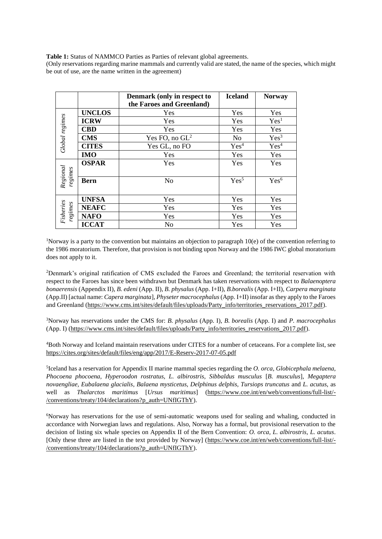**Table 1:** Status of NAMMCO Parties as Parties of relevant global agreements.

(Only reservations regarding marine mammals and currently valid are stated, the name of the species, which might be out of use, are the name written in the agreement)

|                      |               | Denmark (only in respect to<br>the Faroes and Greenland) | <b>Iceland</b>   | <b>Norway</b>    |
|----------------------|---------------|----------------------------------------------------------|------------------|------------------|
|                      | <b>UNCLOS</b> | Yes                                                      | Yes              | Yes              |
|                      | <b>ICRW</b>   | Yes                                                      | Yes              | Yes <sup>1</sup> |
| Global regimes       | <b>CBD</b>    | Yes                                                      | Yes              | Yes              |
|                      | <b>CMS</b>    | Yes FO, no $GL2$                                         | No               | Yes <sup>3</sup> |
|                      | <b>CITES</b>  | Yes GL, no FO                                            | Yes <sup>4</sup> | Yes <sup>4</sup> |
|                      | <b>IMO</b>    | Yes                                                      | Yes              | Yes              |
|                      | <b>OSPAR</b>  | Yes                                                      | Yes              | Yes              |
| Regional<br>regimes  | <b>Bern</b>   | N <sub>o</sub>                                           | Yes <sup>5</sup> | Yes <sup>6</sup> |
|                      | <b>UNFSA</b>  | Yes                                                      | Yes              | Yes              |
|                      | <b>NEAFC</b>  | Yes                                                      | Yes              | Yes              |
| Fisheries<br>regimes | <b>NAFO</b>   | Yes                                                      | Yes              | Yes              |
|                      | <b>ICCAT</b>  | N <sub>o</sub>                                           | Yes              | Yes              |

<sup>1</sup>Norway is a party to the convention but maintains an objection to paragraph  $10(e)$  of the convention referring to the 1986 moratorium. Therefore, that provision is not binding upon Norway and the 1986 IWC global moratorium does not apply to it.

<sup>2</sup>Denmark's original ratification of CMS excluded the Faroes and Greenland; the territorial reservation with respect to the Faroes has since been withdrawn but Denmark has taken reservations with respect to *Balaenoptera bonaerensis* (Appendix II), *B. edeni* (App. II), *B. physalus* (App. I+II), *B.borealis* (App. I+II), *Carpera marginata* (App.II) [actual name: *Capera marginata*], *Physeter macrocephalus* (App. I+II) insofar as they apply to the Faroes and Greenland [\(https://www.cms.int/sites/default/files/uploads/Party\\_info/territories\\_reservations\\_2017.pdf\)](https://www.cms.int/sites/default/files/uploads/Party_info/territories_reservations_2017.pdf).

<sup>3</sup>Norway has reservations under the CMS for: *B. physalus* (App. I), *B. borealis* (App. I) and *P. macrocephalus* (App. I) [\(https://www.cms.int/sites/default/files/uploads/Party\\_info/territories\\_reservations\\_2017.pdf\)](https://www.cms.int/sites/default/files/uploads/Party_info/territories_reservations_2017.pdf).

<sup>4</sup>Both Norway and Iceland maintain reservations under CITES for a number of cetaceans. For a complete list, see <https://cites.org/sites/default/files/eng/app/2017/E-Reserv-2017-07-05.pdf>

5 Iceland has a reservation for Appendix II marine mammal species regarding the *O. orca, Globicephala melaena, Phocoena phocoena, Hyperoodon rostratus, L. albirostris, Sibbaldus musculus* [*B. musculus*], *Megaptera novaengliae, Eubalaena glacialis*, *Balaena mysticetus, Delphinus delphis, Tursiops truncatus* and *L. acutus*, as well as *Thalarctos maritimus* [*Ursus maritimus*] [\(https://www.coe.int/en/web/conventions/full-list/-](https://www.coe.int/en/web/conventions/full-list/-/conventions/treaty/104/declarations?p_auth=UNfIGThY) [/conventions/treaty/104/declarations?p\\_auth=UNfIGThY\)](https://www.coe.int/en/web/conventions/full-list/-/conventions/treaty/104/declarations?p_auth=UNfIGThY).

<sup>6</sup>Norway has reservations for the use of semi-automatic weapons used for sealing and whaling, conducted in accordance with Norwegian laws and regulations. Also, Norway has a formal, but provisional reservation to the decision of listing six whale species on Appendix II of the Bern Convention: *O. orca, L. albirostris, L. acutus*. [Only these three are listed in the text provided by Norway] [\(https://www.coe.int/en/web/conventions/full-list/-](https://www.coe.int/en/web/conventions/full-list/-/conventions/treaty/104/declarations?p_auth=UNfIGThY) [/conventions/treaty/104/declarations?p\\_auth=UNfIGThY\)](https://www.coe.int/en/web/conventions/full-list/-/conventions/treaty/104/declarations?p_auth=UNfIGThY).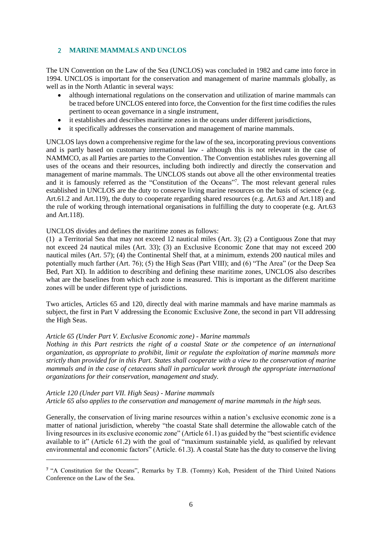## <span id="page-5-0"></span>2 **MARINE MAMMALS AND UNCLOS**

The UN Convention on the Law of the Sea (UNCLOS) was concluded in 1982 and came into force in 1994. UNCLOS is important for the conservation and management of marine mammals globally, as well as in the North Atlantic in several ways:

- although international regulations on the conservation and utilization of marine mammals can be traced before UNCLOS entered into force, the Convention for the first time codifies the rules pertinent to ocean governance in a single instrument,
- it establishes and describes maritime zones in the oceans under different jurisdictions,
- it specifically addresses the conservation and management of marine mammals.

UNCLOS lays down a comprehensive regime for the law of the sea, incorporating previous conventions and is partly based on customary international law - although this is not relevant in the case of NAMMCO, as all Parties are parties to the Convention. The Convention establishes rules governing all uses of the oceans and their resources, including both indirectly and directly the conservation and management of marine mammals. The UNCLOS stands out above all the other environmental treaties and it is famously referred as the "Constitution of the Oceans"<sup>7</sup> . The most relevant general rules established in UNCLOS are the duty to conserve living marine resources on the basis of science (e.g. Art.61.2 and Art.119), the duty to cooperate regarding shared resources (e.g. Art.63 and Art.118) and the rule of working through international organisations in fulfilling the duty to cooperate (e.g. Art.63 and Art.118).

#### UNCLOS divides and defines the maritime zones as follows:

(1) a Territorial Sea that may not exceed 12 nautical miles (Art. 3); (2) a Contiguous Zone that may not exceed 24 nautical miles (Art. 33); (3) an Exclusive Economic Zone that may not exceed 200 nautical miles (Art. 57); (4) the Continental Shelf that, at a minimum, extends 200 nautical miles and potentially much farther (Art. 76); (5) the High Seas (Part VIII); and (6) "The Area" (or the Deep Sea Bed, Part XI). In addition to describing and defining these maritime zones, UNCLOS also describes what are the baselines from which each zone is measured. This is important as the different maritime zones will be under different type of jurisdictions.

Two articles, Articles 65 and 120, directly deal with marine mammals and have marine mammals as subject, the first in Part V addressing the Economic Exclusive Zone, the second in part VII addressing the High Seas.

#### *Article 65 (Under Part V. Exclusive Economic zone) - Marine mammals*

*Nothing in this Part restricts the right of a coastal State or the competence of an international organization, as appropriate to prohibit, limit or regulate the exploitation of marine mammals more strictly than provided for in this Part. States shall cooperate with a view to the conservation of marine mammals and in the case of cetaceans shall in particular work through the appropriate international organizations for their conservation, management and study.*

## *Article 120 (Under part VII. High Seas) - Marine mammals*

1

*Article 65 also applies to the conservation and management of marine mammals in the high seas.*

Generally, the conservation of living marine resources within a nation's exclusive economic zone is a matter of national jurisdiction, whereby "the coastal State shall determine the allowable catch of the living resources in its exclusive economic zone" (Article 61.1) as guided by the "best scientific evidence available to it" (Article 61.2) with the goal of "maximum sustainable yield, as qualified by relevant environmental and economic factors" (Article. 61.3). A coastal State has the duty to conserve the living

<sup>&</sup>lt;sup>7</sup> "A Constitution for the Oceans", Remarks by T.B. (Tommy) Koh, President of the Third United Nations Conference on the Law of the Sea.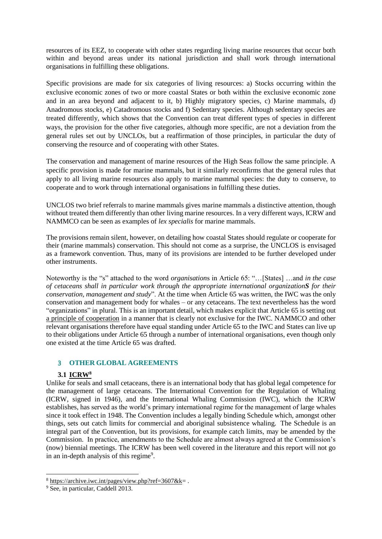resources of its EEZ, to cooperate with other states regarding living marine resources that occur both within and beyond areas under its national jurisdiction and shall work through international organisations in fulfilling these obligations.

Specific provisions are made for six categories of living resources: a) Stocks occurring within the exclusive economic zones of two or more coastal States or both within the exclusive economic zone and in an area beyond and adjacent to it, b) Highly migratory species, c) Marine mammals, d) Anadromous stocks, e) Catadromous stocks and f) Sedentary species. Although sedentary species are treated differently, which shows that the Convention can treat different types of species in different ways, the provision for the other five categories, although more specific, are not a deviation from the general rules set out by UNCLOs, but a reaffirmation of those principles, in particular the duty of conserving the resource and of cooperating with other States.

The conservation and management of marine resources of the High Seas follow the same principle. A specific provision is made for marine mammals, but it similarly reconfirms that the general rules that apply to all living marine resources also apply to marine mammal species: the duty to conserve, to cooperate and to work through international organisations in fulfilling these duties.

UNCLOS two brief referrals to marine mammals gives marine mammals a distinctive attention, though without treated them differently than other living marine resources. In a very different ways, ICRW and NAMMCO can be seen as examples of *lex specialis* for marine mammals.

The provisions remain silent, however, on detailing how coastal States should regulate or cooperate for their (marine mammals) conservation. This should not come as a surprise, the UNCLOS is envisaged as a framework convention. Thus, many of its provisions are intended to be further developed under other instruments.

Noteworthy is the "s" attached to the word *organisation*s in Article 65: "…[States] …and *in the case of cetaceans shall in particular work through the appropriate international organizationS for their conservation, management and study*". At the time when Article 65 was written, the IWC was the only conservation and management body for whales – or any cetaceans. The text nevertheless has the word "organizations" in plural. This is an important detail, which makes explicit that Article 65 is setting out a principle of cooperation in a manner that is clearly not exclusive for the IWC. NAMMCO and other relevant organisations therefore have equal standing under Article 65 to the IWC and States can live up to their obligations under Article 65 through a number of international organisations, even though only one existed at the time Article 65 was drafted.

## <span id="page-6-0"></span>3 **OTHER GLOBAL AGREEMENTS**

## **3.1 ICRW<sup>8</sup>**

<span id="page-6-1"></span>Unlike for seals and small cetaceans, there is an international body that has global legal competence for the management of large cetaceans. The International Convention for the Regulation of Whaling (ICRW, signed in 1946), and the International Whaling Commission (IWC), which the ICRW establishes, has served as the world's primary international regime for the management of large whales since it took effect in 1948. The Convention includes a legally binding Schedule which, amongst other things, sets out catch limits for commercial and aboriginal subsistence whaling. The Schedule is an integral part of the Convention, but its provisions, for example catch limits, may be amended by the Commission. In practice, amendments to the Schedule are almost always agreed at the Commission's (now) biennial meetings. The ICRW has been well covered in the literature and this report will not go in an in-depth analysis of this regime<sup>9</sup>.

-

 $8 \text{ https://architecture.iwc.int/pages/view.php?ref=3607&k=.$ 

<sup>&</sup>lt;sup>9</sup> See, in particular, Caddell 2013.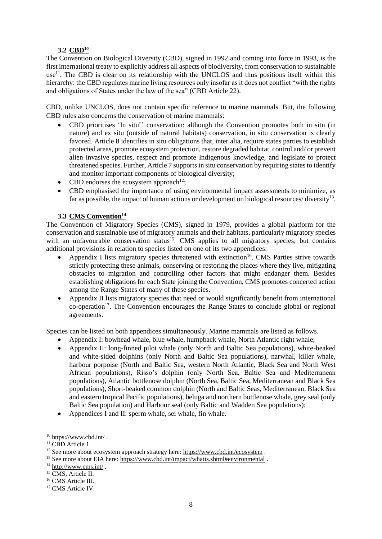## **3.2 CBD<sup>10</sup>**

<span id="page-7-0"></span>The Convention on Biological Diversity (CBD), signed in 1992 and coming into force in 1993, is the first international treaty to explicitly address all aspects of biodiversity, from conservation to sustainable use<sup>11</sup>. The CBD is clear on its relationship with the UNCLOS and thus positions itself within this hierarchy: the CBD regulates marine living resources only insofar as it does not conflict "with the rights and obligations of States under the law of the sea" (CBD Article 22).

CBD, unlike UNCLOS, does not contain specific reference to marine mammals. But, the following CBD rules also concerns the conservation of marine mammals:

- CBD prioritises 'In situ¨' conservation: although the Convention promotes both in situ (in nature) and ex situ (outside of natural habitats) conservation, in situ conservation is clearly favored. Article 8 identifies in situ obligations that, inter alia, require states parties to establish protected areas, promote ecosystem protection, restore degraded habitat, control and/ or prevent alien invasive species, respect and promote Indigenous knowledge, and legislate to protect threatened species. Further, Article 7 supports in situ conservation by requiring states to identify and monitor important components of biological diversity;
- CBD endorses the ecosystem approach<sup>12</sup>;
- CBD emphasised the importance of using environmental impact assessments to minimize, as far as possible, the impact of human actions or development on biological resources/ diversity<sup>13</sup>.

## **3.3 CMS Convention<sup>14</sup>**

<span id="page-7-1"></span>The Convention of Migratory Species (CMS), signed in 1979, provides a global platform for the conservation and sustainable use of migratory animals and their habitats, particularly migratory species with an unfavourable conservation status<sup>15</sup>. CMS applies to all migratory species, but contains additional provisions in relation to species listed on one of its two appendices:

- Appendix I lists migratory species threatened with extinction<sup>16</sup>. CMS Parties strive towards strictly protecting these animals, conserving or restoring the places where they live, mitigating obstacles to migration and controlling other factors that might endanger them. Besides establishing obligations for each State joining the Convention, CMS promotes concerted action among the Range States of many of these species.
- Appendix II lists migratory species that need or would significantly benefit from international co-operation<sup>17</sup>. The Convention encourages the Range States to conclude global or regional agreements.

Species can be listed on both appendices simultaneously. Marine mammals are listed as follows.

- Appendix I: bowhead whale, blue whale, humpback whale, North Atlantic right whale;
- Appendix II: long-finned pilot whale (only North and Baltic Sea populations), white-beaked and white-sided dolphins (only North and Baltic Sea populations), narwhal, killer whale, harbour porpoise (North and Baltic Sea, western North Atlantic, Black Sea and North West African populations), Risso's dolphin (only North Sea, Baltic Sea and Mediterranean populations), Atlantic bottlenose dolphin (North Sea, Baltic Sea, Mediterranean and Black Sea populations), Short-beaked common dolphin (North and Baltic Seas, Mediterranean, Black Sea and eastern tropical Pacific populations), beluga and northern bottlenose whale, grey seal (only Baltic Sea population) and Harbour seal (only Baltic and Wadden Sea populations);
- Appendices I and II: sperm whale, sei whale, fin whale.

-

 $10$  <https://www.cbd.int/>.

 $11$  CBD Article 1.

<sup>&</sup>lt;sup>12</sup> See more about ecosystem approach strategy here:<https://www.cbd.int/ecosystem> .

<sup>&</sup>lt;sup>13</sup> See more about EIA here:<https://www.cbd.int/impact/whatis.shtml#environmental>.

 $14 \text{ http://www.cms.int/}.$  $14 \text{ http://www.cms.int/}.$  $14 \text{ http://www.cms.int/}.$ 

<sup>&</sup>lt;sup>15</sup> CMS, Article II.

<sup>&</sup>lt;sup>16</sup> CMS Article III.

<sup>&</sup>lt;sup>17</sup> CMS Article IV.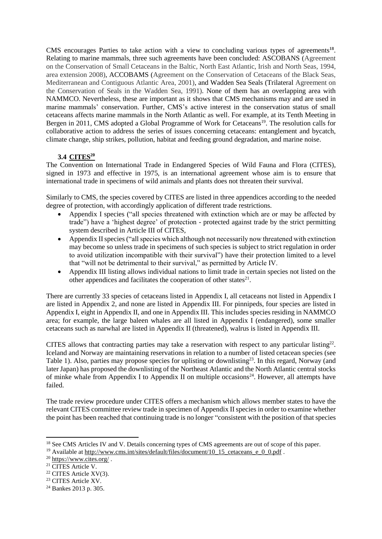CMS encourages Parties to take action with a view to concluding various types of agreements**<sup>18</sup>** . Relating to marine mammals, three such agreements have been concluded: ASCOBANS (Agreement on the Conservation of Small Cetaceans in the Baltic, North East Atlantic, Irish and North Seas, 1994, area extension 2008), ACCOBAMS (Agreement on the Conservation of Cetaceans of the Black Seas, Mediterranean and Contiguous Atlantic Area, 2001), and Wadden Sea Seals (Trilateral Agreement on the Conservation of Seals in the Wadden Sea, 1991). None of them has an overlapping area with NAMMCO. Nevertheless, these are important as it shows that CMS mechanisms may and are used in marine mammals' conservation. Further, CMS's active interest in the conservation status of small cetaceans affects marine mammals in the North Atlantic as well. For example, at its Tenth Meeting in Bergen in 2011, CMS adopted a Global Programme of Work for Cetaceans<sup>19</sup>. The resolution calls for collaborative action to address the series of issues concerning cetaceans: entanglement and bycatch, climate change, ship strikes, pollution, habitat and feeding ground degradation, and marine noise.

## **3.4 CITES<sup>20</sup>**

<span id="page-8-0"></span>The Convention on International Trade in Endangered Species of Wild Fauna and Flora (CITES), signed in 1973 and effective in 1975, is an international agreement whose aim is to ensure that international trade in specimens of wild animals and plants does not threaten their survival.

Similarly to CMS, the species covered by CITES are listed in three appendices according to the needed degree of protection, with accordingly application of different trade restrictions.

- Appendix I species ("all species threatened with extinction which are or may be affected by trade") have a 'highest degree' of protection - protected against trade by the strict permitting system described in Article III of CITES,
- Appendix II species ("all species which although not necessarily now threatened with extinction may become so unless trade in specimens of such species is subject to strict regulation in order to avoid utilization incompatible with their survival") have their protection limited to a level that "will not be detrimental to their survival," as permitted by Article IV.
- Appendix III listing allows individual nations to limit trade in certain species not listed on the other appendices and facilitates the cooperation of other states $2<sup>1</sup>$ .

There are currently 33 species of cetaceans listed in Appendix I, all cetaceans not listed in Appendix I are listed in Appendix 2, and none are listed in Appendix III. For pinnipeds, four species are listed in Appendix I, eight in Appendix II, and one in Appendix III. This includes species residing in NAMMCO area; for example, the large baleen whales are all listed in Appendix I (endangered), some smaller cetaceans such as narwhal are listed in Appendix II (threatened), walrus is listed in Appendix III.

CITES allows that contracting parties may take a reservation with respect to any particular listing $22$ . Iceland and Norway are maintaining reservations in relation to a number of listed cetacean species (see Table 1). Also, parties may propose species for uplisting or downlisting<sup>23</sup>. In this regard, Norway (and later Japan) has proposed the downlisting of the Northeast Atlantic and the North Atlantic central stocks of minke whale from Appendix I to Appendix II on multiple occasions<sup>24</sup>. However, all attempts have failed.

The trade review procedure under CITES offers a mechanism which allows member states to have the relevant CITES committee review trade in specimen of Appendix II species in order to examine whether the point has been reached that continuing trade is no longer "consistent with the position of that species

<sup>&</sup>lt;sup>18</sup> See CMS Articles IV and V. Details concerning types of CMS agreements are out of scope of this paper.

<sup>&</sup>lt;sup>19</sup> Available at [http://www.cms.int/sites/default/files/document/10\\_15\\_cetaceans\\_e\\_0\\_0.pdf](http://www.cms.int/sites/default/files/document/10_15_cetaceans_e_0_0.pdf) .

<sup>&</sup>lt;sup>20</sup> <https://www.cites.org/>.

<sup>&</sup>lt;sup>21</sup> CITES Article V.

<sup>22</sup> CITES Article XV(3).

<sup>23</sup> CITES Article XV.

<sup>24</sup> Bankes 2013 p. 305.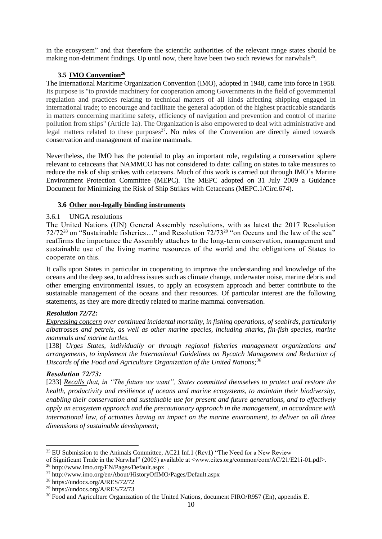in the ecosystem" and that therefore the scientific authorities of the relevant range states should be making non-detriment findings. Up until now, there have been two such reviews for narwhals<sup>25</sup>.

## **3.5 IMO Convention<sup>26</sup>**

<span id="page-9-0"></span>The International Maritime Organization Convention (IMO), adopted in 1948, came into force in 1958. Its purpose is "to provide machinery for cooperation among Governments in the field of governmental regulation and practices relating to technical matters of all kinds affecting shipping engaged in international trade; to encourage and facilitate the general adoption of the highest practicable standards in matters concerning maritime safety, efficiency of navigation and prevention and control of marine pollution from ships" (Article 1a). The Organization is also empowered to deal with administrative and legal matters related to these purposes $27$ . No rules of the Convention are directly aimed towards conservation and management of marine mammals.

Nevertheless, the IMO has the potential to play an important role, regulating a conservation sphere relevant to cetaceans that NAMMCO has not considered to date: calling on states to take measures to reduce the risk of ship strikes with cetaceans. Much of this work is carried out through IMO's Marine Environment Protection Committee (MEPC). The MEPC adopted on 31 July 2009 a Guidance Document for Minimizing the Risk of Ship Strikes with Cetaceans (MEPC.1/Circ.674).

## **3.6 Other non-legally binding instruments**

#### <span id="page-9-2"></span><span id="page-9-1"></span>3.6.1 UNGA resolutions

The United Nations (UN) General Assembly resolutions, with as latest the 2017 Resolution 72/72<sup>28</sup> on "Sustainable fisheries..." and Resolution  $72/73^{29}$  "on Oceans and the law of the sea" reaffirms the importance the Assembly attaches to the long-term conservation, management and sustainable use of the living marine resources of the world and the obligations of States to cooperate on this.

It calls upon States in particular in cooperating to improve the understanding and knowledge of the oceans and the deep sea, to address issues such as climate change, underwater noise, marine debris and other emerging environmental issues, to apply an ecosystem approach and better contribute to the sustainable management of the oceans and their resources. Of particular interest are the following statements, as they are more directly related to marine mammal conversation.

#### *Resolution 72/72:*

*Expressing concern over continued incidental mortality, in fishing operations, of seabirds, particularly albatrosses and petrels, as well as other marine species, including sharks, fin-fish species, marine mammals and marine turtles.*

[138] *Urges States, individually or through regional fisheries management organizations and arrangements, to implement the International Guidelines on Bycatch Management and Reduction of Discards of the Food and Agriculture Organization of the United Nations;<sup>30</sup>* 

#### *Resolution 72/73:*

1

[233] *Recalls that, in "The future we want", States committed themselves to protect and restore the health, productivity and resilience of oceans and marine ecosystems, to maintain their biodiversity, enabling their conservation and sustainable use for present and future generations, and to effectively apply an ecosystem approach and the precautionary approach in the management, in accordance with international law, of activities having an impact on the marine environment, to deliver on all three dimensions of sustainable development;* 

<sup>&</sup>lt;sup>25</sup> EU Submission to the Animals Committee, AC21 Inf.1 (Rev1) "The Need for a New Review

of Significant Trade in the Narwhal" (2005) available at <www.cites.org/common/com/AC/21/E21i-01.pdf>.

<sup>26</sup> http://www.imo.org/EN/Pages/Default.aspx .

<sup>27</sup> http://www.imo.org/en/About/HistoryOfIMO/Pages/Default.aspx

<sup>28</sup> https://undocs.org/A/RES/72/72

<sup>29</sup> https://undocs.org/A/RES/72/73

<sup>&</sup>lt;sup>30</sup> Food and Agriculture Organization of the United Nations, document FIRO/R957 (En), appendix E.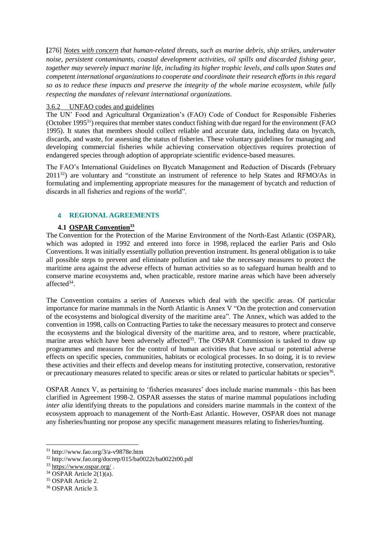**[**276] *Notes with concern that human-related threats, such as marine debris, ship strikes, underwater noise, persistent contaminants, coastal development activities, oil spills and discarded fishing gear, together may severely impact marine life, including its higher trophic levels, and calls upon States and competent international organizations to cooperate and coordinate their research efforts in this regard so as to reduce these impacts and preserve the integrity of the whole marine ecosystem, while fully respecting the mandates of relevant international organizations.*

## <span id="page-10-0"></span>3.6.2 UNFAO codes and guidelines

The UN' Food and Agricultural Organization's (FAO) Code of Conduct for Responsible Fisheries (October 1995<sup>31</sup>) requires that member states conduct fishing with due regard for the environment (FAO 1995). It states that members should collect reliable and accurate data, including data on bycatch, discards, and waste, for assessing the status of fisheries. These voluntary guidelines for managing and developing commercial fisheries while achieving conservation objectives requires protection of endangered species through adoption of appropriate scientific evidence-based measures.

The FAO's International Guidelines on Bycatch Management and Reduction of Discards (February  $2011^{32}$ ) are voluntary and "constitute an instrument of reference to help States and RFMO/As in formulating and implementing appropriate measures for the management of bycatch and reduction of discards in all fisheries and regions of the world".

## <span id="page-10-1"></span>4 **REGIONAL AGREEMENTS**

## **4.1 OSPAR Convention<sup>33</sup>**

<span id="page-10-2"></span>The Convention for the Protection of the Marine Environment of the North-East Atlantic (OSPAR), which was adopted in 1992 and entered into force in 1998, replaced the earlier Paris and Oslo Conventions. It was initially essentially pollution prevention instrument. Its general obligation is to take all possible steps to prevent and eliminate pollution and take the necessary measures to protect the maritime area against the adverse effects of human activities so as to safeguard human health and to conserve marine ecosystems and, when practicable, restore marine areas which have been adversely affected<sup>34</sup>.

The Convention contains a series of Annexes which deal with the specific areas. Of particular importance for marine mammals in the North Atlantic is Annex V "On the protection and conservation of the ecosystems and biological diversity of the maritime area". The Annex, which was added to the convention in 1998, calls on Contracting Parties to take the necessary measures to protect and conserve the ecosystems and the biological diversity of the maritime area, and to restore, where practicable, marine areas which have been adversely affected<sup>35</sup>. The OSPAR Commission is tasked to draw up programmes and measures for the control of human activities that have actual or potential adverse effects on specific species, communities, habitats or ecological processes. In so doing, it is to review these activities and their effects and develop means for instituting protective, conservation, restorative or precautionary measures related to specific areas or sites or related to particular habitats or species<sup>36</sup>.

OSPAR Annex V, as pertaining to 'fisheries measures' does include marine mammals - this has been clarified in Agreement 1998-2. OSPAR assesses the status of marine mammal populations including *inter alia identifying threats to the populations and considers marine mammals in the context of the* ecosystem approach to management of the North-East Atlantic. However, OSPAR does not manage any fisheries/hunting nor propose any specific management measures relating to fisheries/hunting.

<sup>31</sup> http://www.fao.org/3/a-v9878e.htm

<sup>32</sup> http://www.fao.org/docrep/015/ba0022t/ba0022t00.pdf

 $33 \text{ https://www.ospar.org/}.$  $33 \text{ https://www.ospar.org/}.$  $33 \text{ https://www.ospar.org/}.$ 

 $34$  OSPAR Article 2(1)(a).

<sup>35</sup> OSPAR Article 2.

<sup>36</sup> OSPAR Article 3.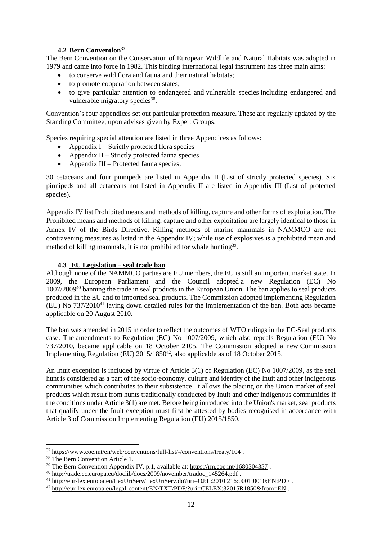## **4.2 Bern Convention<sup>37</sup>**

<span id="page-11-0"></span>The Bern Convention on the Conservation of European Wildlife and Natural Habitats was adopted in 1979 and came into force in 1982. This binding international legal instrument has three main aims:

- to conserve wild flora and fauna and their natural habitats;
- to promote cooperation between states:
- to give particular attention to endangered and vulnerable species including endangered and vulnerable migratory species<sup>38</sup>.

Convention's four appendices set out particular protection measure. These are regularly updated by the Standing Committee, upon advises given by Expert Groups.

Species requiring special attention are listed in three Appendices as follows:

- Appendix I Strictly protected flora species
- Appendix II Strictly protected fauna species
- Appendix III Protected fauna species.

30 cetaceans and four pinnipeds are listed in Appendix II (List of strictly protected species). Six pinnipeds and all cetaceans not listed in Appendix II are listed in Appendix III (List of protected species).

Appendix IV list Prohibited means and methods of killing, capture and other forms of exploitation. The Prohibited means and methods of killing, capture and other exploitation are largely identical to those in Annex IV of the Birds Directive. Killing methods of marine mammals in NAMMCO are not contravening measures as listed in the Appendix IV; while use of explosives is a prohibited mean and method of killing mammals, it is not prohibited for whale hunting<sup>39</sup>.

## <span id="page-11-1"></span>**4.3 EU Legislation – seal trade ban**

Although none of the NAMMCO parties are EU members, the EU is still an important market state. In 2009, the European Parliament and the Council adopted a new Regulation (EC) No 1007/2009<sup>40</sup> banning the trade in seal products in the European Union. The ban applies to seal products produced in the EU and to imported seal products. The Commission adopted implementing Regulation (EU) No  $737/2010^{41}$  laying down detailed rules for the implementation of the ban. Both acts became applicable on 20 August 2010.

The ban was amended in 2015 in order to reflect the outcomes of WTO rulings in the EC-Seal products case. The amendments to Regulation (EC) No 1007/2009, which also repeals Regulation (EU) No 737/2010, became applicable on 18 October 2105. The Commission adopted a new Commission Implementing Regulation (EU)  $2015/1850^{42}$ , also applicable as of 18 October 2015.

An Inuit exception is included by virtue of Article 3(1) of Regulation (EC) No 1007/2009, as the seal hunt is considered as a part of the socio-economy, culture and identity of the Inuit and other indigenous communities which contributes to their subsistence. It allows the placing on the Union market of seal products which result from hunts traditionally conducted by Inuit and other indigenous communities if the conditions under Article 3(1) are met. Before being introduced into the Union's market, seal products that qualify under the Inuit exception must first be attested by bodies recognised in accordance with Article 3 of Commission Implementing Regulation (EU) 2015/1850.

<sup>37</sup> <https://www.coe.int/en/web/conventions/full-list/-/conventions/treaty/104> .

<sup>&</sup>lt;sup>38</sup> The Bern Convention Article 1.

 $39$  The Bern Convention Appendix IV, p.1, available at:<https://rm.coe.int/1680304357>.

<sup>&</sup>lt;sup>40</sup> [http://trade.ec.europa.eu/doclib/docs/2009/november/tradoc\\_145264.pdf](http://trade.ec.europa.eu/doclib/docs/2009/november/tradoc_145264.pdf) .

<sup>&</sup>lt;sup>41</sup> <http://eur-lex.europa.eu/LexUriServ/LexUriServ.do?uri=OJ:L:2010:216:0001:0010:EN:PDF>.

<sup>42</sup> <http://eur-lex.europa.eu/legal-content/EN/TXT/PDF/?uri=CELEX:32015R1850&from=EN> .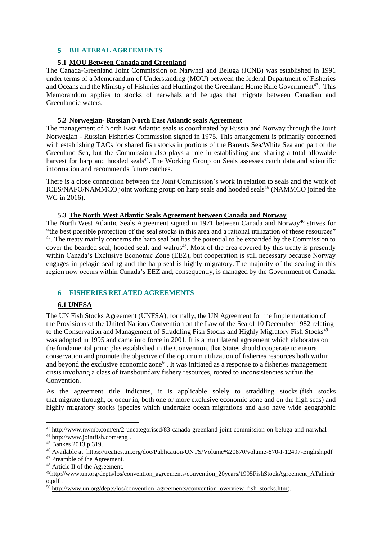## <span id="page-12-0"></span>5 **BILATERAL AGREEMENTS**

## **5.1 MOU Between Canada and Greenland**

<span id="page-12-1"></span>The Canada-Greenland Joint Commission on Narwhal and Beluga (JCNB) was established in 1991 under terms of a Memorandum of Understanding (MOU) between the federal Department of Fisheries and Oceans and the Ministry of Fisheries and Hunting of the Greenland Home Rule Government<sup>43</sup>. This Memorandum applies to stocks of narwhals and belugas that migrate between Canadian and Greenlandic waters.

#### **5.2 Norwegian- Russian North East Atlantic seals Agreement**

<span id="page-12-2"></span>The management of North East Atlantic seals is coordinated by Russia and Norway through the Joint Norwegian - Russian Fisheries Commission signed in 1975. This arrangement is primarily concerned with establishing TACs for shared fish stocks in portions of the Barents Sea/White Sea and part of the Greenland Sea, but the Commission also plays a role in establishing and sharing a total allowable harvest for harp and hooded seals<sup>44</sup>. The Working Group on Seals assesses catch data and scientific information and recommends future catches.

There is a close connection between the Joint Commission's work in relation to seals and the work of ICES/NAFO/NAMMCO joint working group on harp seals and hooded seals<sup>45</sup> (NAMMCO joined the WG in 2016).

## **5.3 The North West Atlantic Seals Agreement between Canada and Norway**

<span id="page-12-3"></span>The North West Atlantic Seals Agreement signed in 1971 between Canada and Norway<sup>46</sup> strives for "the best possible protection of the seal stocks in this area and a rational utilization of these resources" <sup>47</sup>. The treaty mainly concerns the harp seal but has the potential to be expanded by the Commission to cover the bearded seal, hooded seal, and walrus<sup>48</sup>. Most of the area covered by this treaty is presently within Canada's Exclusive Economic Zone (EEZ), but cooperation is still necessary because Norway engages in pelagic sealing and the harp seal is highly migratory. The majority of the sealing in this region now occurs within Canada's EEZ and, consequently, is managed by the Government of Canada.

#### <span id="page-12-4"></span>6 **FISHERIES RELATED AGREEMENTS**

## **6.1 UNFSA**

<span id="page-12-5"></span>The UN Fish Stocks Agreement (UNFSA), formally, the UN Agreement for the Implementation of the Provisions of the United Nations Convention on the Law of the Sea of 10 December 1982 relating to the Conservation and Management of Straddling Fish Stocks and Highly Migratory Fish Stocks<sup>49</sup> was adopted in 1995 and came into force in 2001. It is a multilateral agreement which elaborates on the fundamental principles established in the Convention, that States should cooperate to ensure conservation and promote the objective of the optimum utilization of fisheries resources both within and beyond the exclusive economic zone<sup>50</sup>. It was initiated as a response to a fisheries management crisis involving a class of transboundary fishery resources, rooted to inconsistencies within the Convention.

As the agreement title indicates, it is applicable solely to straddling stocks (fish stocks that migrate through, or occur in, both one or more exclusive economic zone and on the high seas) and highly migratory stocks (species which undertake ocean migrations and also have wide geographic

<sup>43</sup> <http://www.nwmb.com/en/2-uncategorised/83-canada-greenland-joint-commission-on-beluga-and-narwhal> .

<sup>44</sup> <http://www.jointfish.com/eng> .

<sup>45</sup> Bankes 2013 p.319.

<sup>46</sup> Available at:<https://treaties.un.org/doc/Publication/UNTS/Volume%20870/volume-870-I-12497-English.pdf>

<sup>47</sup> Preamble of the Agreement.

<sup>48</sup> Article II of the Agreement.

<sup>&</sup>lt;sup>49</sup>[http://www.un.org/depts/los/convention\\_agreements/convention\\_20years/1995FishStockAgreement\\_ATahindr](http://www.un.org/depts/los/convention_agreements/convention_20years/1995FishStockAgreement_ATahindro.pdf) [o.pdf](http://www.un.org/depts/los/convention_agreements/convention_20years/1995FishStockAgreement_ATahindro.pdf) .

 $\frac{1}{50}$  [http://www.un.org/depts/los/convention\\_agreements/convention\\_overview\\_fish\\_stocks.htm\)](http://www.un.org/depts/los/convention_agreements/convention_overview_fish_stocks.htm).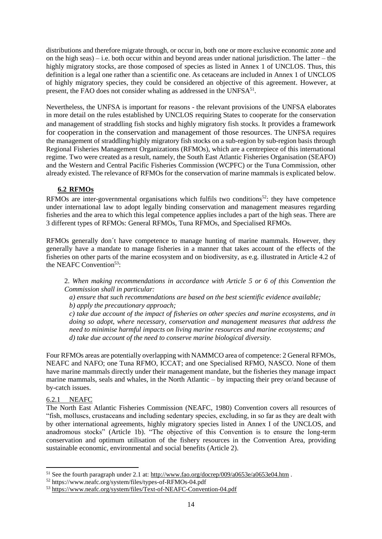distributions and therefore migrate through, or occur in, both one or more exclusive economic zone and on the high seas) – i.e. both occur within and beyond areas under national jurisdiction. The latter – the highly migratory stocks, are those composed of species as listed in Annex 1 of UNCLOS. Thus, this definition is a legal one rather than a scientific one. As cetaceans are included in Annex 1 of UNCLOS of highly migratory species, they could be considered an objective of this agreement. However, at present, the FAO does not consider whaling as addressed in the UNFSA<sup>51</sup>.

Nevertheless, the UNFSA is important for reasons - the relevant provisions of the UNFSA elaborates in more detail on the rules established by UNCLOS requiring States to cooperate for the conservation and management of straddling fish stocks and highly migratory fish stocks. It provides a framework for cooperation in the conservation and management of those resources. The UNFSA requires the management of straddling/highly migratory fish stocks on a sub-region by sub-region basis through Regional Fisheries Management Organizations (RFMOs), which are a centrepiece of this international regime. Two were created as a result, namely, the South East Atlantic Fisheries Organisation (SEAFO) and the Western and Central Pacific Fisheries Commission (WCPFC) or the Tuna Commission, other already existed. The relevance of RFMOs for the conservation of marine mammals is explicated below.

## **6.2 RFMOs**

<span id="page-13-0"></span>RFMOs are inter-governmental organisations which fulfils two conditions<sup>52</sup>: they have competence under international law to adopt legally binding conservation and management measures regarding fisheries and the area to which this legal competence applies includes a part of the high seas. There are 3 different types of RFMOs: General RFMOs, Tuna RFMOs, and Specialised RFMOs.

RFMOs generally don´t have competence to manage hunting of marine mammals. However, they generally have a mandate to manage fisheries in a manner that takes account of the effects of the fisheries on other parts of the marine ecosystem and on biodiversity, as e.g. illustrated in Article 4.2 of the NEAFC Convention<sup>53</sup>:

2. *When making recommendations in accordance with Article 5 or 6 of this Convention the Commission shall in particular:*

*a) ensure that such recommendations are based on the best scientific evidence available; b) apply the precautionary approach;*

*c) take due account of the impact of fisheries on other species and marine ecosystems, and in doing so adopt, where necessary, conservation and management measures that address the need to minimise harmful impacts on living marine resources and marine ecosystems; and d) take due account of the need to conserve marine biological diversity.*

Four RFMOs areas are potentially overlapping with NAMMCO area of competence: 2 General RFMOs, NEAFC and NAFO; one Tuna RFMO, ICCAT; and one Specialised RFMO, NASCO. None of them have marine mammals directly under their management mandate, but the fisheries they manage impact marine mammals, seals and whales, in the North Atlantic – by impacting their prey or/and because of by-catch issues.

## <span id="page-13-1"></span>6.2.1 NEAFC

1

The North East Atlantic Fisheries Commission (NEAFC, 1980) Convention covers all resources of "fish, molluscs, crustaceans and including sedentary species, excluding, in so far as they are dealt with by other international agreements, highly migratory species listed in Annex I of the UNCLOS, and anadromous stocks" (Article 1b). "The objective of this Convention is to ensure the long-term conservation and optimum utilisation of the fishery resources in the Convention Area, providing sustainable economic, environmental and social benefits (Article 2).

 $51$  See the fourth paragraph under 2.1 at:<http://www.fao.org/docrep/009/a0653e/a0653e04.htm>.

<sup>52</sup> https://www.neafc.org/system/files/types-of-RFMOs-04.pdf

<sup>53</sup> <https://www.neafc.org/system/files/Text-of-NEAFC-Convention-04.pdf>